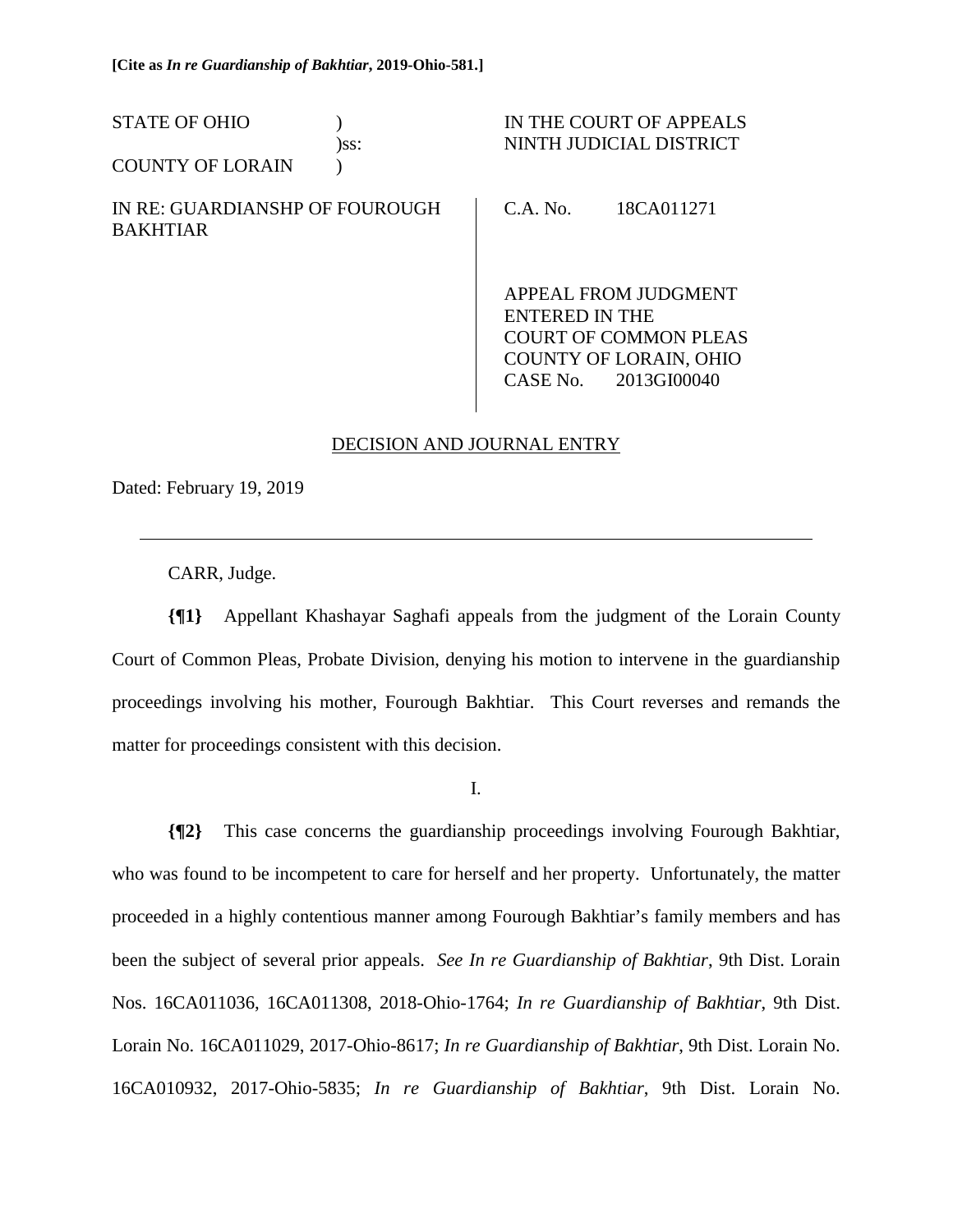| <b>STATE OF OHIO</b><br><b>COUNTY OF LORAIN</b>   | )ss: |                            | IN THE COURT OF APPEALS<br>NINTH JUDICIAL DISTRICT                                                   |
|---------------------------------------------------|------|----------------------------|------------------------------------------------------------------------------------------------------|
| IN RE: GUARDIANSHP OF FOUROUGH<br><b>BAKHTIAR</b> |      | C.A. No.                   | 18CA011271                                                                                           |
|                                                   |      | ENTERED IN THE<br>CASE No. | APPEAL FROM JUDGMENT<br><b>COURT OF COMMON PLEAS</b><br><b>COUNTY OF LORAIN, OHIO</b><br>2013GI00040 |

## DECISION AND JOURNAL ENTRY

Dated: February 19, 2019

 $\overline{a}$ 

CARR, Judge.

**{¶1}** Appellant Khashayar Saghafi appeals from the judgment of the Lorain County Court of Common Pleas, Probate Division, denying his motion to intervene in the guardianship proceedings involving his mother, Fourough Bakhtiar. This Court reverses and remands the matter for proceedings consistent with this decision.

I.

**{¶2}** This case concerns the guardianship proceedings involving Fourough Bakhtiar, who was found to be incompetent to care for herself and her property. Unfortunately, the matter proceeded in a highly contentious manner among Fourough Bakhtiar's family members and has been the subject of several prior appeals. *See In re Guardianship of Bakhtiar*, 9th Dist. Lorain Nos. 16CA011036, 16CA011308, 2018-Ohio-1764; *In re Guardianship of Bakhtiar*, 9th Dist. Lorain No. 16CA011029, 2017-Ohio-8617; *In re Guardianship of Bakhtiar*, 9th Dist. Lorain No. 16CA010932, 2017-Ohio-5835; *In re Guardianship of Bakhtiar*, 9th Dist. Lorain No.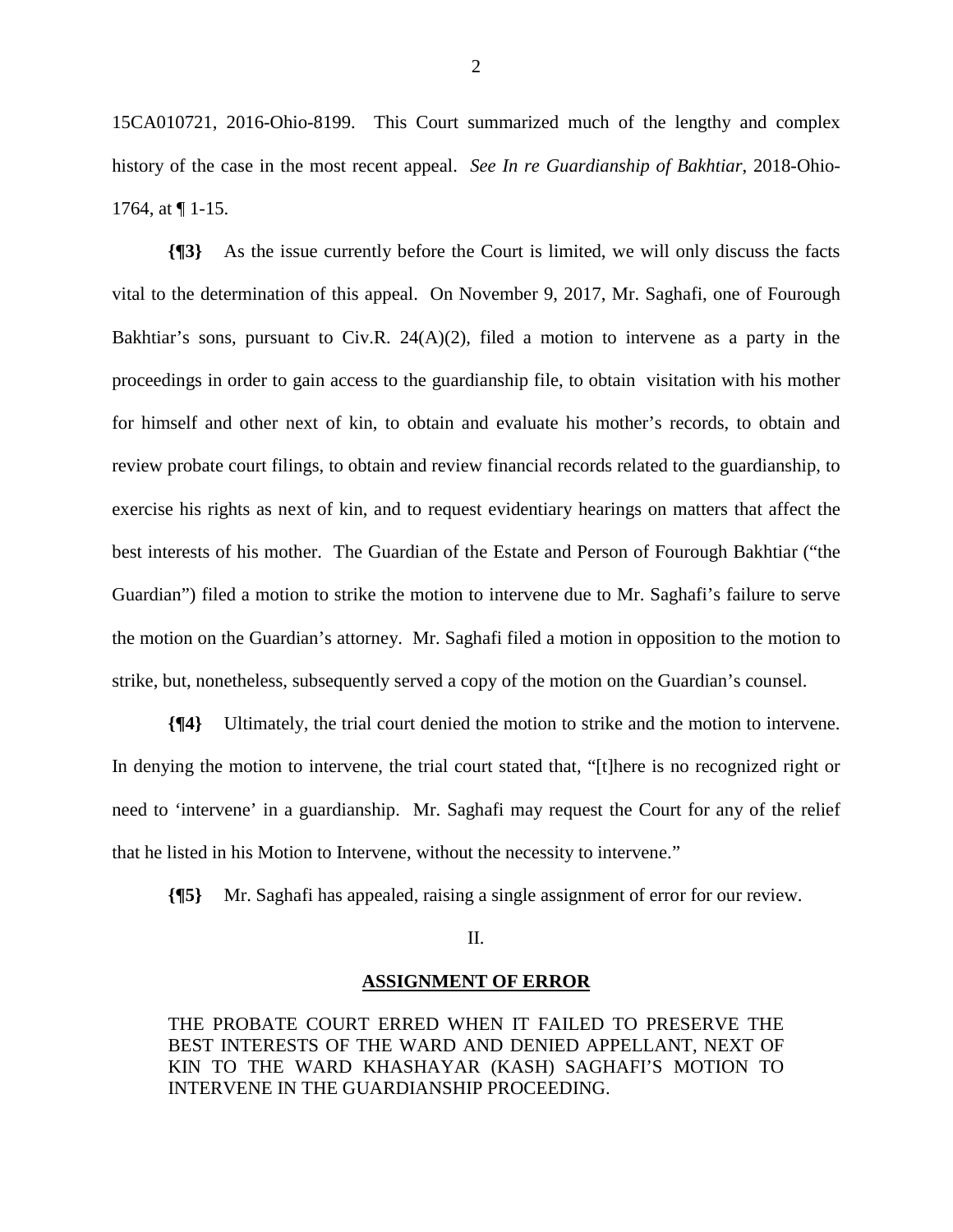15CA010721, 2016-Ohio-8199. This Court summarized much of the lengthy and complex history of the case in the most recent appeal. *See In re Guardianship of Bakhtiar*, 2018-Ohio-1764, at ¶ 1-15.

**{¶3}** As the issue currently before the Court is limited, we will only discuss the facts vital to the determination of this appeal. On November 9, 2017, Mr. Saghafi, one of Fourough Bakhtiar's sons, pursuant to Civ.R. 24(A)(2), filed a motion to intervene as a party in the proceedings in order to gain access to the guardianship file, to obtain visitation with his mother for himself and other next of kin, to obtain and evaluate his mother's records, to obtain and review probate court filings, to obtain and review financial records related to the guardianship, to exercise his rights as next of kin, and to request evidentiary hearings on matters that affect the best interests of his mother. The Guardian of the Estate and Person of Fourough Bakhtiar ("the Guardian") filed a motion to strike the motion to intervene due to Mr. Saghafi's failure to serve the motion on the Guardian's attorney. Mr. Saghafi filed a motion in opposition to the motion to strike, but, nonetheless, subsequently served a copy of the motion on the Guardian's counsel.

**{¶4}** Ultimately, the trial court denied the motion to strike and the motion to intervene. In denying the motion to intervene, the trial court stated that, "[t]here is no recognized right or need to 'intervene' in a guardianship. Mr. Saghafi may request the Court for any of the relief that he listed in his Motion to Intervene, without the necessity to intervene."

**{¶5}** Mr. Saghafi has appealed, raising a single assignment of error for our review.

## II.

## **ASSIGNMENT OF ERROR**

THE PROBATE COURT ERRED WHEN IT FAILED TO PRESERVE THE BEST INTERESTS OF THE WARD AND DENIED APPELLANT, NEXT OF KIN TO THE WARD KHASHAYAR (KASH) SAGHAFI'S MOTION TO INTERVENE IN THE GUARDIANSHIP PROCEEDING.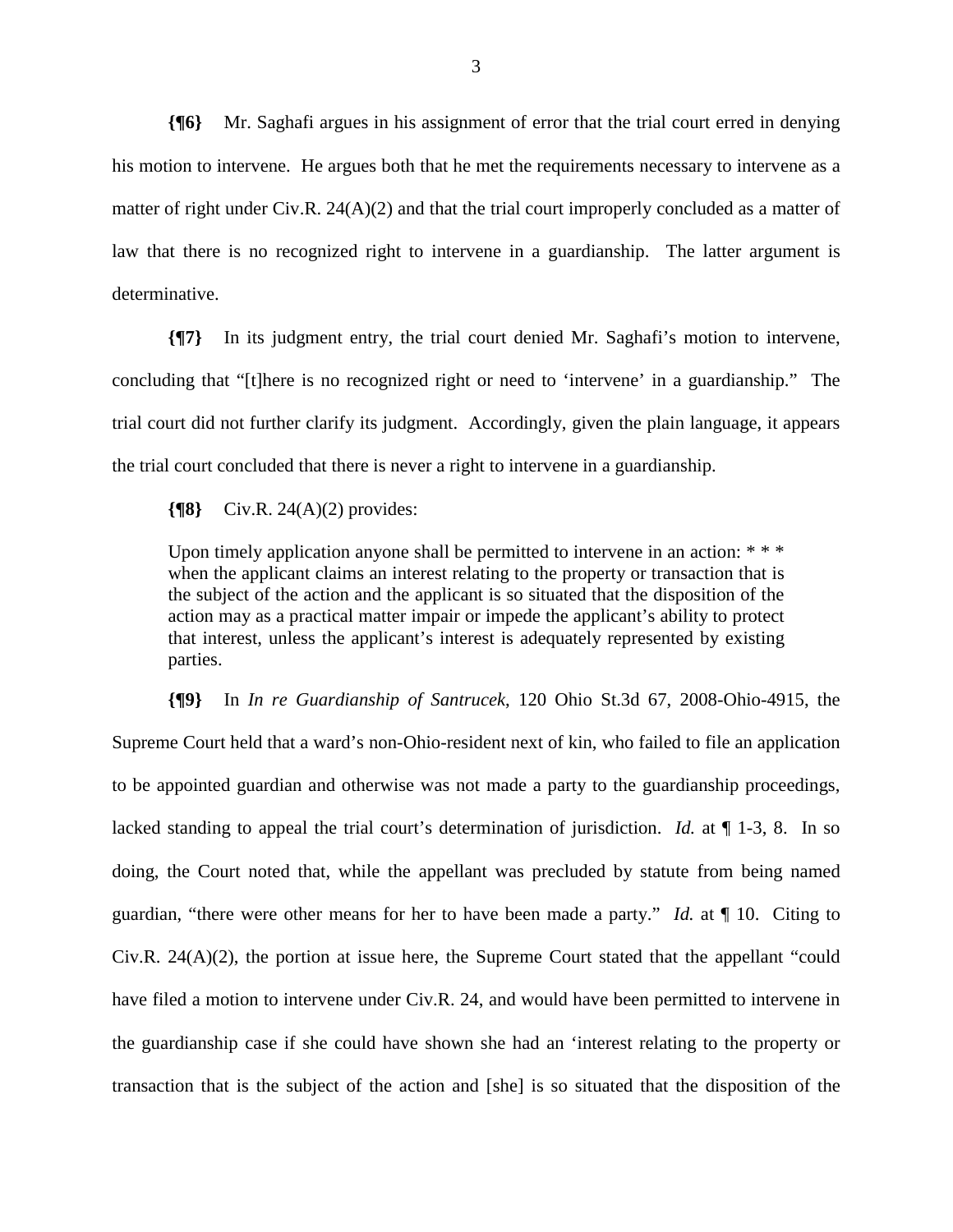**{¶6}** Mr. Saghafi argues in his assignment of error that the trial court erred in denying his motion to intervene. He argues both that he met the requirements necessary to intervene as a matter of right under Civ.R.  $24(A)(2)$  and that the trial court improperly concluded as a matter of law that there is no recognized right to intervene in a guardianship. The latter argument is determinative.

**{¶7}** In its judgment entry, the trial court denied Mr. Saghafi's motion to intervene, concluding that "[t]here is no recognized right or need to 'intervene' in a guardianship." The trial court did not further clarify its judgment. Accordingly, given the plain language, it appears the trial court concluded that there is never a right to intervene in a guardianship.

**{¶8}** Civ.R. 24(A)(2) provides:

Upon timely application anyone shall be permitted to intervene in an action: \*\*\* when the applicant claims an interest relating to the property or transaction that is the subject of the action and the applicant is so situated that the disposition of the action may as a practical matter impair or impede the applicant's ability to protect that interest, unless the applicant's interest is adequately represented by existing parties.

**{¶9}** In *In re Guardianship of Santrucek*, 120 Ohio St.3d 67, 2008-Ohio-4915, the Supreme Court held that a ward's non-Ohio-resident next of kin, who failed to file an application to be appointed guardian and otherwise was not made a party to the guardianship proceedings, lacked standing to appeal the trial court's determination of jurisdiction. *Id.* at ¶ 1-3, 8. In so doing, the Court noted that, while the appellant was precluded by statute from being named guardian, "there were other means for her to have been made a party." *Id.* at ¶ 10. Citing to Civ.R. 24(A)(2), the portion at issue here, the Supreme Court stated that the appellant "could have filed a motion to intervene under Civ.R. 24, and would have been permitted to intervene in the guardianship case if she could have shown she had an 'interest relating to the property or transaction that is the subject of the action and [she] is so situated that the disposition of the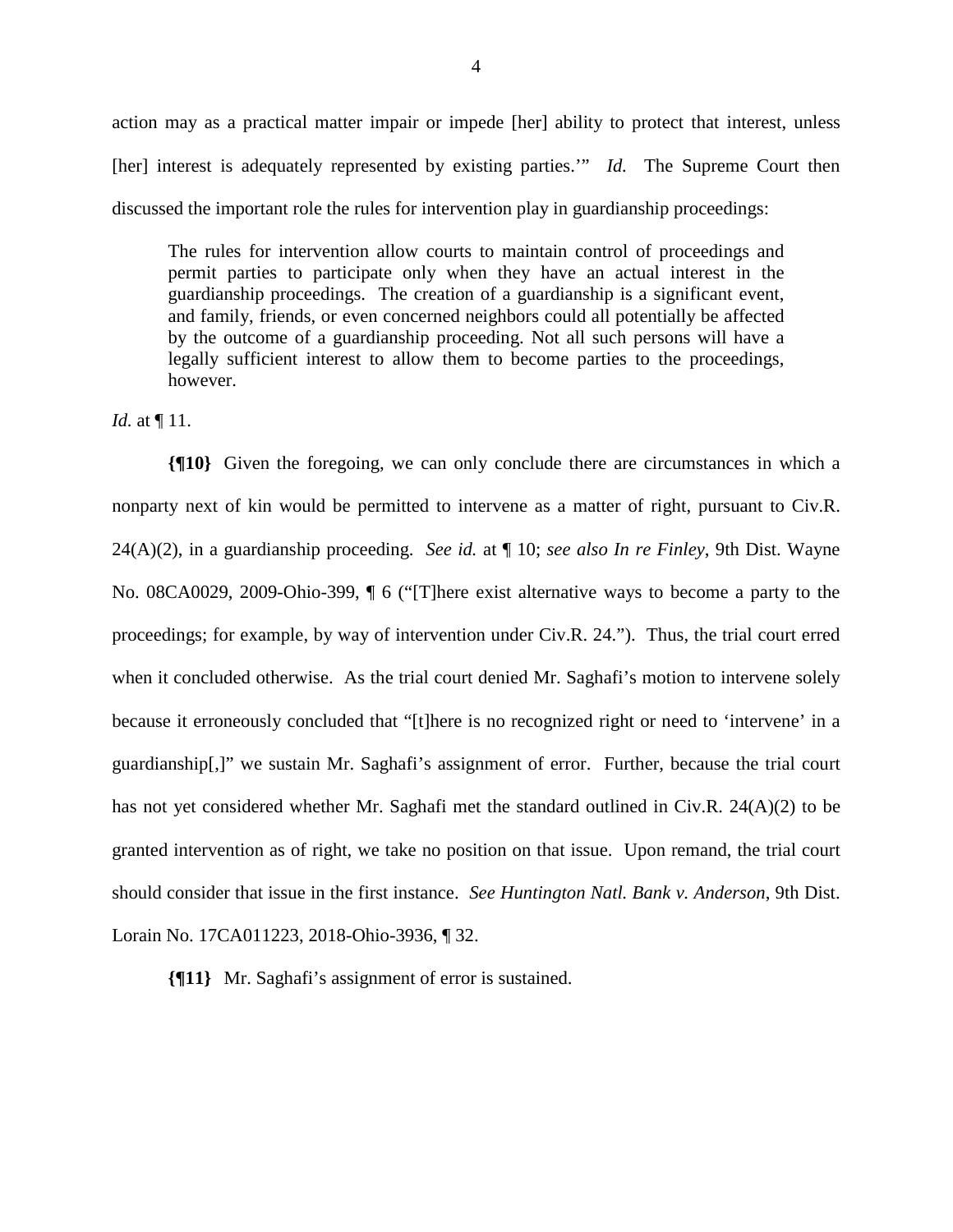action may as a practical matter impair or impede [her] ability to protect that interest, unless [her] interest is adequately represented by existing parties.'" *Id.* The Supreme Court then discussed the important role the rules for intervention play in guardianship proceedings:

The rules for intervention allow courts to maintain control of proceedings and permit parties to participate only when they have an actual interest in the guardianship proceedings. The creation of a guardianship is a significant event, and family, friends, or even concerned neighbors could all potentially be affected by the outcome of a guardianship proceeding. Not all such persons will have a legally sufficient interest to allow them to become parties to the proceedings, however.

*Id.* at ¶ 11.

**{¶10}** Given the foregoing, we can only conclude there are circumstances in which a nonparty next of kin would be permitted to intervene as a matter of right, pursuant to Civ.R. 24(A)(2), in a guardianship proceeding. *See id.* at ¶ 10; *see also In re Finley*, 9th Dist. Wayne No. 08CA0029, 2009-Ohio-399, ¶ 6 ("[T]here exist alternative ways to become a party to the proceedings; for example, by way of intervention under Civ.R. 24."). Thus, the trial court erred when it concluded otherwise. As the trial court denied Mr. Saghafi's motion to intervene solely because it erroneously concluded that "[t]here is no recognized right or need to 'intervene' in a guardianship[,]" we sustain Mr. Saghafi's assignment of error. Further, because the trial court has not yet considered whether Mr. Saghafi met the standard outlined in Civ.R. 24(A)(2) to be granted intervention as of right, we take no position on that issue. Upon remand, the trial court should consider that issue in the first instance. *See Huntington Natl. Bank v. Anderson*, 9th Dist. Lorain No. 17CA011223, 2018-Ohio-3936, ¶ 32.

**{¶11}** Mr. Saghafi's assignment of error is sustained.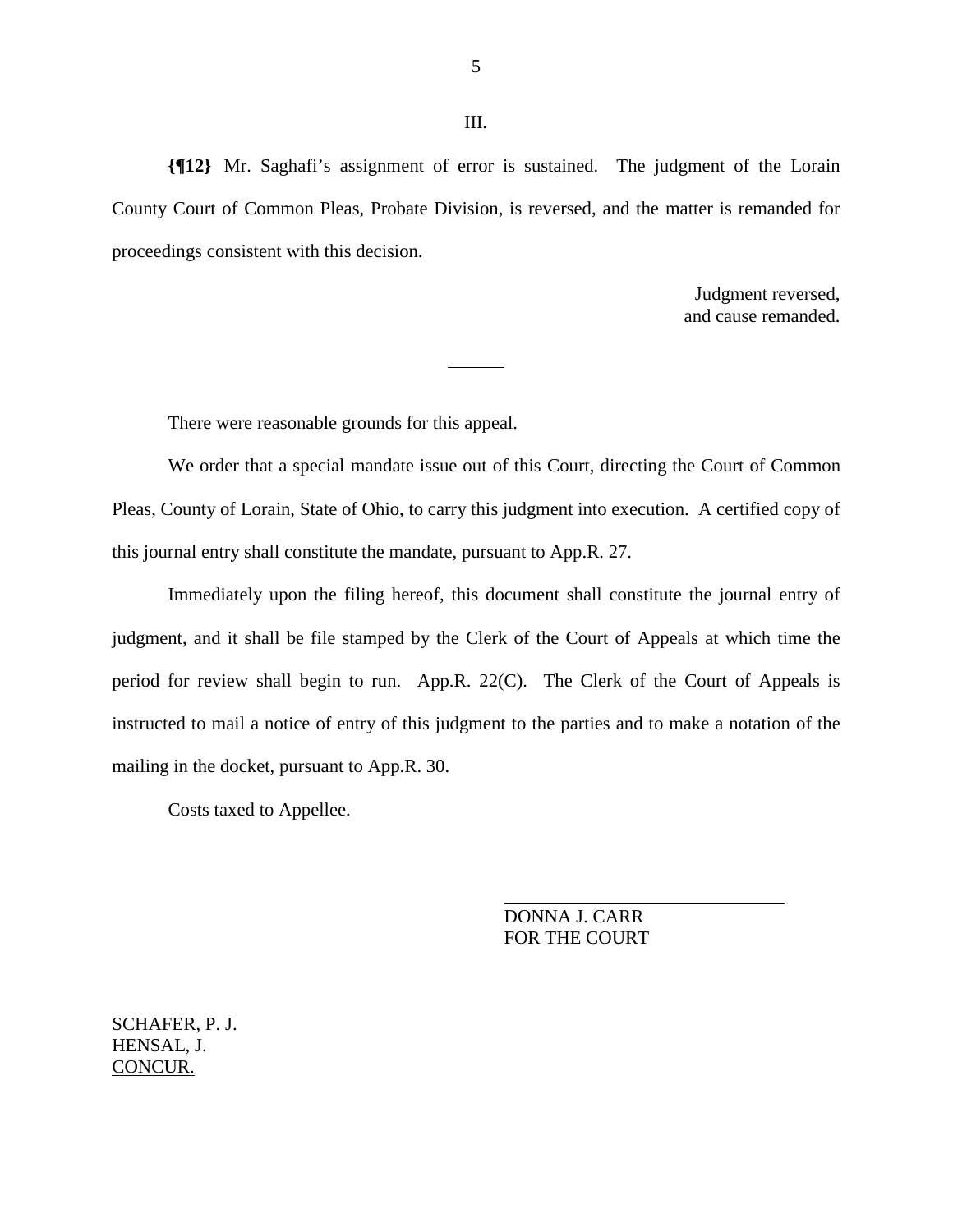**{¶12}** Mr. Saghafi's assignment of error is sustained. The judgment of the Lorain County Court of Common Pleas, Probate Division, is reversed, and the matter is remanded for proceedings consistent with this decision.

 $\overline{a}$ 

Judgment reversed, and cause remanded.

There were reasonable grounds for this appeal.

 We order that a special mandate issue out of this Court, directing the Court of Common Pleas, County of Lorain, State of Ohio, to carry this judgment into execution. A certified copy of this journal entry shall constitute the mandate, pursuant to App.R. 27.

 Immediately upon the filing hereof, this document shall constitute the journal entry of judgment, and it shall be file stamped by the Clerk of the Court of Appeals at which time the period for review shall begin to run. App.R. 22(C). The Clerk of the Court of Appeals is instructed to mail a notice of entry of this judgment to the parties and to make a notation of the mailing in the docket, pursuant to App.R. 30.

Costs taxed to Appellee.

 DONNA J. CARR FOR THE COURT

SCHAFER, P. J. HENSAL, J. CONCUR.

III.